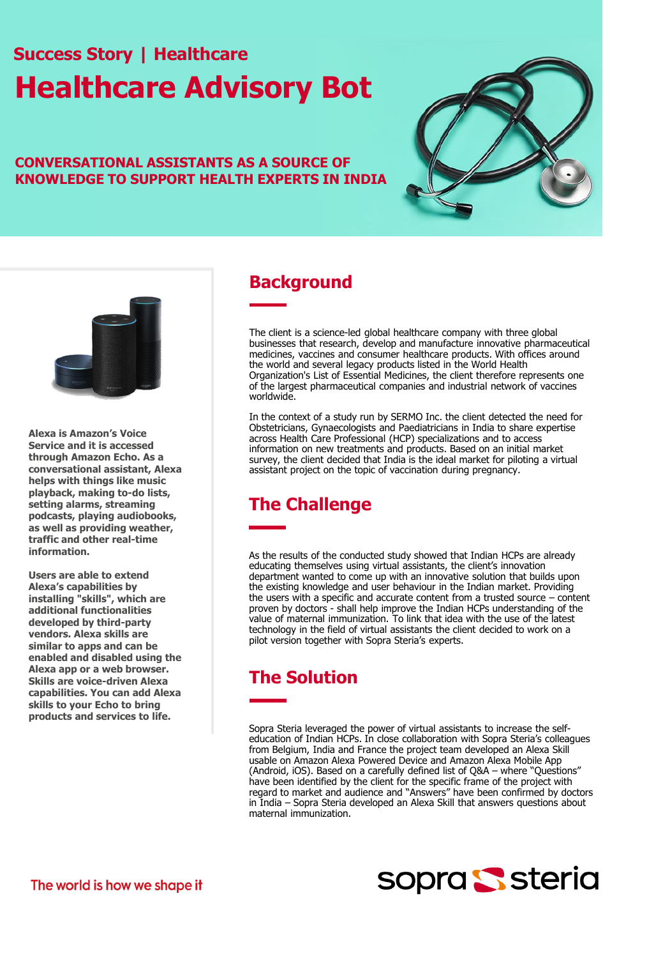# **Success Story | Healthcare Healthcare Advisory Bot**

#### **CONVERSATIONAL ASSISTANTS AS A SOURCE OF KNOWLEDGE TO SUPPORT HEALTH EXPERTS IN INDIA**





**Alexa is Amazon's Voice Service and it is accessed through Amazon Echo. As a conversational assistant, Alexa helps with things like music playback, making to-do lists, setting alarms, streaming podcasts, playing audiobooks, as well as providing weather, traffic and other real-time information.** 

**Users are able to extend Alexa's capabilities by installing "skills", which are additional functionalities developed by third-party vendors. Alexa skills are similar to apps and can be enabled and disabled using the Alexa app or a web browser. Skills are voice-driven Alexa capabilities. You can add Alexa skills to your Echo to bring products and services to life.** 

### **Background**

The client is a science-led global healthcare company with three global businesses that research, develop and manufacture innovative pharmaceutical medicines, vaccines and consumer healthcare products. With offices around the world and several legacy products listed in the World Health Organization's List of Essential Medicines, the client therefore represents one of the largest pharmaceutical companies and industrial network of vaccines worldwide.

In the context of a study run by SERMO Inc. the client detected the need for Obstetricians, Gynaecologists and Paediatricians in India to share expertise across Health Care Professional (HCP) specializations and to access information on new treatments and products. Based on an initial market survey, the client decided that India is the ideal market for piloting a virtual assistant project on the topic of vaccination during pregnancy.

# **The Challenge**

As the results of the conducted study showed that Indian HCPs are already educating themselves using virtual assistants, the client's innovation department wanted to come up with an innovative solution that builds upon the existing knowledge and user behaviour in the Indian market. Providing the users with a specific and accurate content from a trusted source – content proven by doctors - shall help improve the Indian HCPs understanding of the value of maternal immunization. To link that idea with the use of the latest technology in the field of virtual assistants the client decided to work on a pilot version together with Sopra Steria's experts.

# **The Solution**

Sopra Steria leveraged the power of virtual assistants to increase the selfeducation of Indian HCPs. In close collaboration with Sopra Steria's colleagues from Belgium, India and France the project team developed an Alexa Skill usable on Amazon Alexa Powered Device and Amazon Alexa Mobile App (Android, iOS). Based on a carefully defined list of Q&A – where "Questions" have been identified by the client for the specific frame of the project with regard to market and audience and "Answers" have been confirmed by doctors in India – Sopra Steria developed an Alexa Skill that answers questions about maternal immunization.